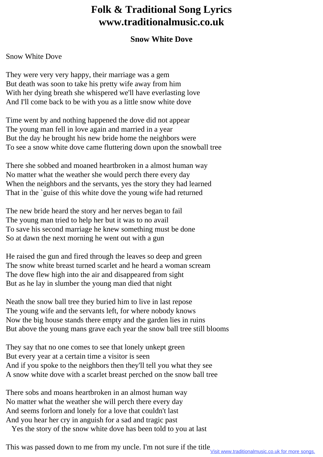## **Folk & Traditional Song Lyrics www.traditionalmusic.co.uk**

## **Snow White Dove**

## Snow White Dove

They were very very happy, their marriage was a gem But death was soon to take his pretty wife away from him With her dying breath she whispered we'll have everlasting love And I'll come back to be with you as a little snow white dove

Time went by and nothing happened the dove did not appear The young man fell in love again and married in a year But the day he brought his new bride home the neighbors were To see a snow white dove came fluttering down upon the snowball tree

There she sobbed and moaned heartbroken in a almost human way No matter what the weather she would perch there every day When the neighbors and the servants, yes the story they had learned That in the `guise of this white dove the young wife had returned

The new bride heard the story and her nerves began to fail The young man tried to help her but it was to no avail To save his second marriage he knew something must be done So at dawn the next morning he went out with a gun

He raised the gun and fired through the leaves so deep and green The snow white breast turned scarlet and he heard a woman scream The dove flew high into the air and disappeared from sight But as he lay in slumber the young man died that night

Neath the snow ball tree they buried him to live in last repose The young wife and the servants left, for where nobody knows Now the big house stands there empty and the garden lies in ruins But above the young mans grave each year the snow ball tree still blooms

They say that no one comes to see that lonely unkept green But every year at a certain time a visitor is seen And if you spoke to the neighbors then they'll tell you what they see A snow white dove with a scarlet breast perched on the snow ball tree

There sobs and moans heartbroken in an almost human way No matter what the weather she will perch there every day And seems forlorn and lonely for a love that couldn't last And you hear her cry in anguish for a sad and tragic past

Yes the story of the snow white dove has been told to you at last

This was passed down to me from my uncle. I'm not sure if the title **Visit www.traditionalmusic.co.uk** for more songs.